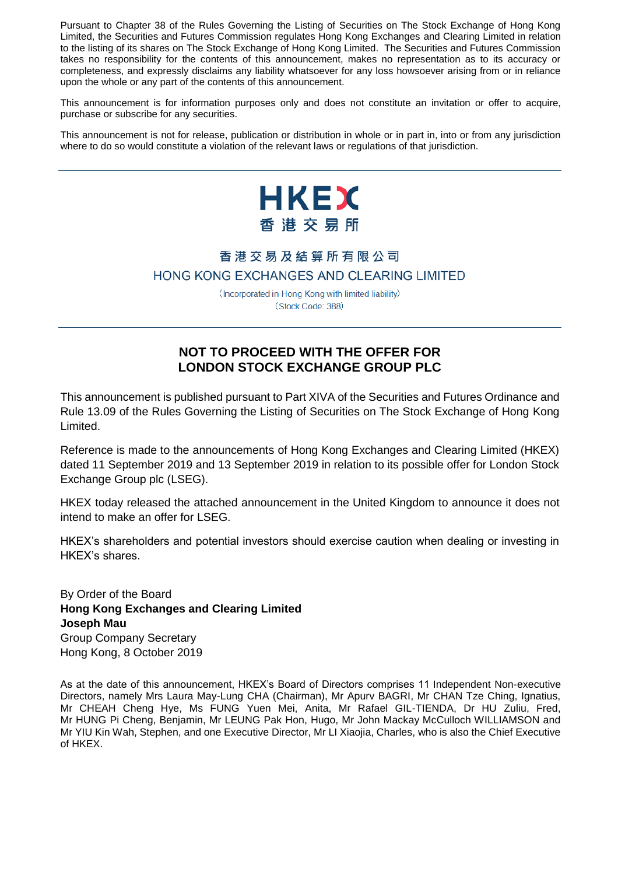Pursuant to Chapter 38 of the Rules Governing the Listing of Securities on The Stock Exchange of Hong Kong Limited, the Securities and Futures Commission regulates Hong Kong Exchanges and Clearing Limited in relation to the listing of its shares on The Stock Exchange of Hong Kong Limited. The Securities and Futures Commission takes no responsibility for the contents of this announcement, makes no representation as to its accuracy or completeness, and expressly disclaims any liability whatsoever for any loss howsoever arising from or in reliance upon the whole or any part of the contents of this announcement.

This announcement is for information purposes only and does not constitute an invitation or offer to acquire, purchase or subscribe for any securities.

This announcement is not for release, publication or distribution in whole or in part in, into or from any jurisdiction where to do so would constitute a violation of the relevant laws or regulations of that jurisdiction.



# 香港交易及結算所有限公司 HONG KONG EXCHANGES AND CLEARING LIMITED

(Incorporated in Hong Kong with limited liability) (Stock Code: 388)

# **NOT TO PROCEED WITH THE OFFER FOR LONDON STOCK EXCHANGE GROUP PLC**

This announcement is published pursuant to Part XIVA of the Securities and Futures Ordinance and Rule 13.09 of the Rules Governing the Listing of Securities on The Stock Exchange of Hong Kong Limited.

Reference is made to the announcements of Hong Kong Exchanges and Clearing Limited (HKEX) dated 11 September 2019 and 13 September 2019 in relation to its possible offer for London Stock Exchange Group plc (LSEG).

HKEX today released the attached announcement in the United Kingdom to announce it does not intend to make an offer for LSEG.

HKEX's shareholders and potential investors should exercise caution when dealing or investing in HKEX's shares.

By Order of the Board **Hong Kong Exchanges and Clearing Limited Joseph Mau** Group Company Secretary Hong Kong, 8 October 2019

As at the date of this announcement, HKEX's Board of Directors comprises 11 Independent Non-executive Directors, namely Mrs Laura May-Lung CHA (Chairman), Mr Apurv BAGRI, Mr CHAN Tze Ching, Ignatius, Mr CHEAH Cheng Hye, Ms FUNG Yuen Mei, Anita, Mr Rafael GIL-TIENDA, Dr HU Zuliu, Fred, Mr HUNG Pi Cheng, Benjamin, Mr LEUNG Pak Hon, Hugo, Mr John Mackay McCulloch WILLIAMSON and Mr YIU Kin Wah, Stephen, and one Executive Director, Mr LI Xiaojia, Charles, who is also the Chief Executive of HKEX.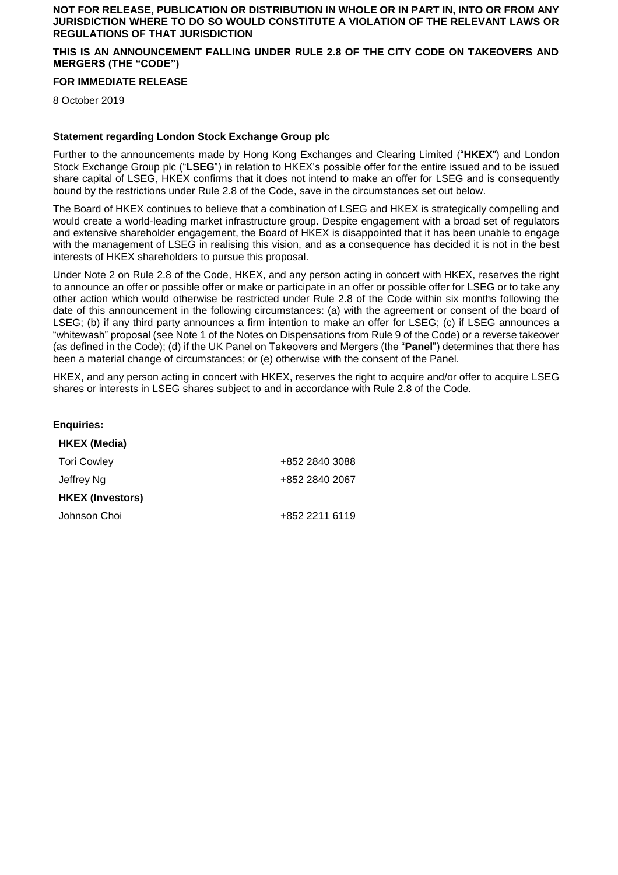### **NOT FOR RELEASE, PUBLICATION OR DISTRIBUTION IN WHOLE OR IN PART IN, INTO OR FROM ANY JURISDICTION WHERE TO DO SO WOULD CONSTITUTE A VIOLATION OF THE RELEVANT LAWS OR REGULATIONS OF THAT JURISDICTION**

## **THIS IS AN ANNOUNCEMENT FALLING UNDER RULE 2.8 OF THE CITY CODE ON TAKEOVERS AND MERGERS (THE "CODE")**

#### **FOR IMMEDIATE RELEASE**

8 October 2019

#### **Statement regarding London Stock Exchange Group plc**

Further to the announcements made by Hong Kong Exchanges and Clearing Limited ("**HKEX**") and London Stock Exchange Group plc ("**LSEG**") in relation to HKEX's possible offer for the entire issued and to be issued share capital of LSEG, HKEX confirms that it does not intend to make an offer for LSEG and is consequently bound by the restrictions under Rule 2.8 of the Code, save in the circumstances set out below.

The Board of HKEX continues to believe that a combination of LSEG and HKEX is strategically compelling and would create a world-leading market infrastructure group. Despite engagement with a broad set of regulators and extensive shareholder engagement, the Board of HKEX is disappointed that it has been unable to engage with the management of LSEG in realising this vision, and as a consequence has decided it is not in the best interests of HKEX shareholders to pursue this proposal.

Under Note 2 on Rule 2.8 of the Code, HKEX, and any person acting in concert with HKEX, reserves the right to announce an offer or possible offer or make or participate in an offer or possible offer for LSEG or to take any other action which would otherwise be restricted under Rule 2.8 of the Code within six months following the date of this announcement in the following circumstances: (a) with the agreement or consent of the board of LSEG; (b) if any third party announces a firm intention to make an offer for LSEG; (c) if LSEG announces a "whitewash" proposal (see Note 1 of the Notes on Dispensations from Rule 9 of the Code) or a reverse takeover (as defined in the Code); (d) if the UK Panel on Takeovers and Mergers (the "**Panel**") determines that there has been a material change of circumstances; or (e) otherwise with the consent of the Panel.

HKEX, and any person acting in concert with HKEX, reserves the right to acquire and/or offer to acquire LSEG shares or interests in LSEG shares subject to and in accordance with Rule 2.8 of the Code.

| <b>Enquiries:</b>       |                |
|-------------------------|----------------|
| <b>HKEX (Media)</b>     |                |
| <b>Tori Cowley</b>      | +852 2840 3088 |
| Jeffrey Ng              | +852 2840 2067 |
| <b>HKEX (Investors)</b> |                |
| Johnson Choi            | +852 2211 6119 |